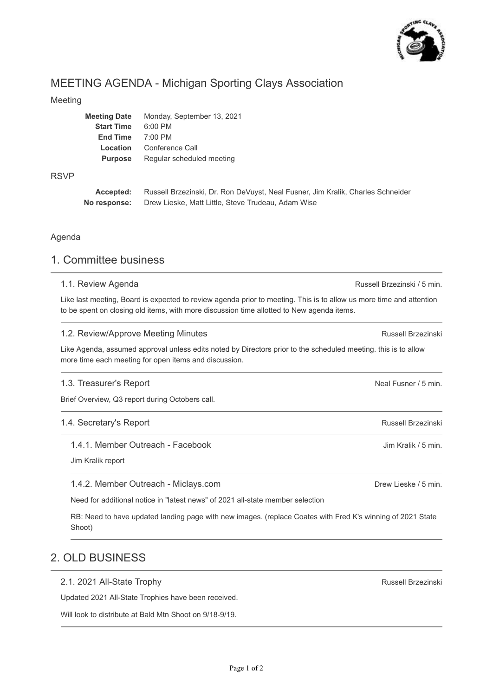

# MEETING AGENDA - Michigan Sporting Clays Association

#### Meeting

| <b>Meeting Date</b> | Monday, September 13, 2021 |
|---------------------|----------------------------|
| <b>Start Time</b>   | $6:00$ PM                  |
| <b>End Time</b>     | $7:00$ PM                  |
| Location            | Conference Call            |
| <b>Purpose</b>      | Regular scheduled meeting  |
|                     |                            |

#### RSVP

**Accepted: No response:** Russell Brzezinski, Dr. Ron DeVuyst, Neal Fusner, Jim Kralik, Charles Schneider Drew Lieske, Matt Little, Steve Trudeau, Adam Wise

#### Agenda

### 1. Committee business

#### 1.1. Review Agenda

Like last meeting, Board is expected to review agenda prior to meeting. This is to allow us more time and attention to be spent on closing old items, with more discussion time allotted to New agenda items.

#### 1.2. Review/Approve Meeting Minutes

Like Agenda, assumed approval unless edits noted by Directors prior to the scheduled meeting. this is to allow more time each meeting for open items and discussion.

#### 1.3. Treasurer's Report

Brief Overview, Q3 report during Octobers call.

#### 1.4. Secretary's Report

#### 1.4.1. Member Outreach - Facebook

Jim Kralik report

#### 1.4.2. Member Outreach - Miclays.com

Need for additional notice in "latest news" of 2021 all-state member selection

RB: Need to have updated landing page with new images. (replace Coates with Fred K's winning of 2021 State Shoot)

### 2. OLD BUSINESS

#### 2.1. 2021 All-State Trophy

Updated 2021 All-State Trophies have been received.

Will look to distribute at Bald Mtn Shoot on 9/18-9/19.

Russell Brzezinski / 5 min.

Russell Brzezinski

Neal Fusner / 5 min.

Russell Brzezinski

Jim Kralik / 5 min.

Drew Lieske / 5 min.

Russell Brzezinski